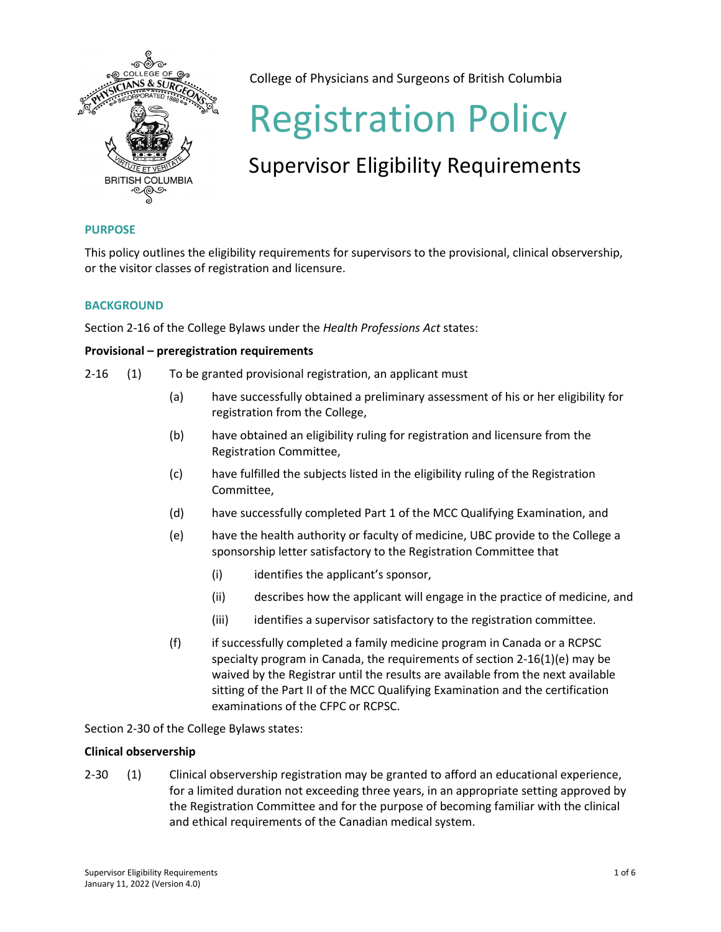

College of Physicians and Surgeons of British Columbia

# Registration Policy

# Supervisor Eligibility Requirements

# **PURPOSE**

This policy outlines the eligibility requirements for supervisors to the provisional, clinical observership, or the visitor classes of registration and licensure.

# **BACKGROUND**

Section 2-16 of the College Bylaws under the *Health Professions Act* states:

# **Provisional – preregistration requirements**

- 2-16 (1) To be granted provisional registration, an applicant must
	- (a) have successfully obtained a preliminary assessment of his or her eligibility for registration from the College,
	- (b) have obtained an eligibility ruling for registration and licensure from the Registration Committee,
	- (c) have fulfilled the subjects listed in the eligibility ruling of the Registration Committee,
	- (d) have successfully completed Part 1 of the MCC Qualifying Examination, and
	- (e) have the health authority or faculty of medicine, UBC provide to the College a sponsorship letter satisfactory to the Registration Committee that
		- (i) identifies the applicant's sponsor,
		- (ii) describes how the applicant will engage in the practice of medicine, and
		- (iii) identifies a supervisor satisfactory to the registration committee.
	- (f) if successfully completed a family medicine program in Canada or a RCPSC specialty program in Canada, the requirements of section 2-16(1)(e) may be waived by the Registrar until the results are available from the next available sitting of the Part II of the MCC Qualifying Examination and the certification examinations of the CFPC or RCPSC.

Section 2-30 of the College Bylaws states:

# **Clinical observership**

2-30 (1) Clinical observership registration may be granted to afford an educational experience, for a limited duration not exceeding three years, in an appropriate setting approved by the Registration Committee and for the purpose of becoming familiar with the clinical and ethical requirements of the Canadian medical system.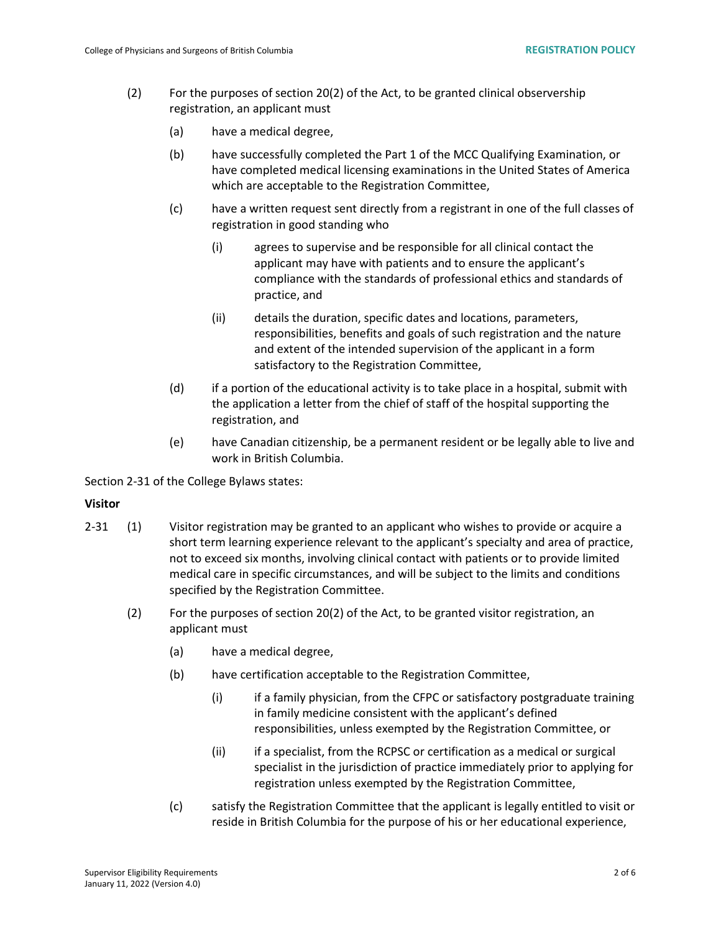- (2) For the purposes of section 20(2) of the Act, to be granted clinical observership registration, an applicant must
	- (a) have a medical degree,
	- (b) have successfully completed the Part 1 of the MCC Qualifying Examination, or have completed medical licensing examinations in the United States of America which are acceptable to the Registration Committee,
	- (c) have a written request sent directly from a registrant in one of the full classes of registration in good standing who
		- (i) agrees to supervise and be responsible for all clinical contact the applicant may have with patients and to ensure the applicant's compliance with the standards of professional ethics and standards of practice, and
		- (ii) details the duration, specific dates and locations, parameters, responsibilities, benefits and goals of such registration and the nature and extent of the intended supervision of the applicant in a form satisfactory to the Registration Committee,
	- (d) if a portion of the educational activity is to take place in a hospital, submit with the application a letter from the chief of staff of the hospital supporting the registration, and
	- (e) have Canadian citizenship, be a permanent resident or be legally able to live and work in British Columbia.

Section 2-31 of the College Bylaws states:

## **Visitor**

- 2-31 (1) Visitor registration may be granted to an applicant who wishes to provide or acquire a short term learning experience relevant to the applicant's specialty and area of practice, not to exceed six months, involving clinical contact with patients or to provide limited medical care in specific circumstances, and will be subject to the limits and conditions specified by the Registration Committee.
	- (2) For the purposes of section 20(2) of the Act, to be granted visitor registration, an applicant must
		- (a) have a medical degree,
		- (b) have certification acceptable to the Registration Committee,
			- (i) if a family physician, from the CFPC or satisfactory postgraduate training in family medicine consistent with the applicant's defined responsibilities, unless exempted by the Registration Committee, or
			- (ii) if a specialist, from the RCPSC or certification as a medical or surgical specialist in the jurisdiction of practice immediately prior to applying for registration unless exempted by the Registration Committee,
		- (c) satisfy the Registration Committee that the applicant is legally entitled to visit or reside in British Columbia for the purpose of his or her educational experience,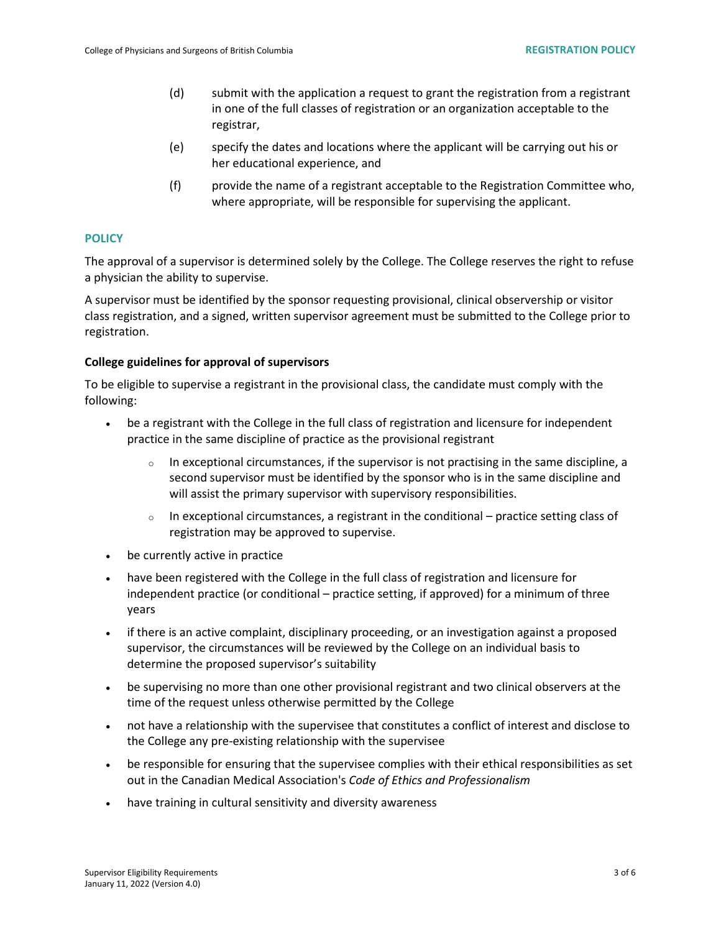- (d) submit with the application a request to grant the registration from a registrant in one of the full classes of registration or an organization acceptable to the registrar,
- (e) specify the dates and locations where the applicant will be carrying out his or her educational experience, and
- (f) provide the name of a registrant acceptable to the Registration Committee who, where appropriate, will be responsible for supervising the applicant.

## **POLICY**

The approval of a supervisor is determined solely by the College. The College reserves the right to refuse a physician the ability to supervise.

A supervisor must be identified by the sponsor requesting provisional, clinical observership or visitor class registration, and a signed, written supervisor agreement must be submitted to the College prior to registration.

#### **College guidelines for approval of supervisors**

To be eligible to supervise a registrant in the provisional class, the candidate must comply with the following:

- be a registrant with the College in the full class of registration and licensure for independent practice in the same discipline of practice as the provisional registrant
	- $\circ$  In exceptional circumstances, if the supervisor is not practising in the same discipline, a second supervisor must be identified by the sponsor who is in the same discipline and will assist the primary supervisor with supervisory responsibilities.
	- $\circ$  In exceptional circumstances, a registrant in the conditional practice setting class of registration may be approved to supervise.
- be currently active in practice
- have been registered with the College in the full class of registration and licensure for independent practice (or conditional – practice setting, if approved) for a minimum of three years
- if there is an active complaint, disciplinary proceeding, or an investigation against a proposed supervisor, the circumstances will be reviewed by the College on an individual basis to determine the proposed supervisor's suitability
- be supervising no more than one other provisional registrant and two clinical observers at the time of the request unless otherwise permitted by the College
- not have a relationship with the supervisee that constitutes a conflict of interest and disclose to the College any pre-existing relationship with the supervisee
- be responsible for ensuring that the supervisee complies with their ethical responsibilities as set out in the Canadian Medical Association's *Code of Ethics and Professionalism*
- have training in cultural sensitivity and diversity awareness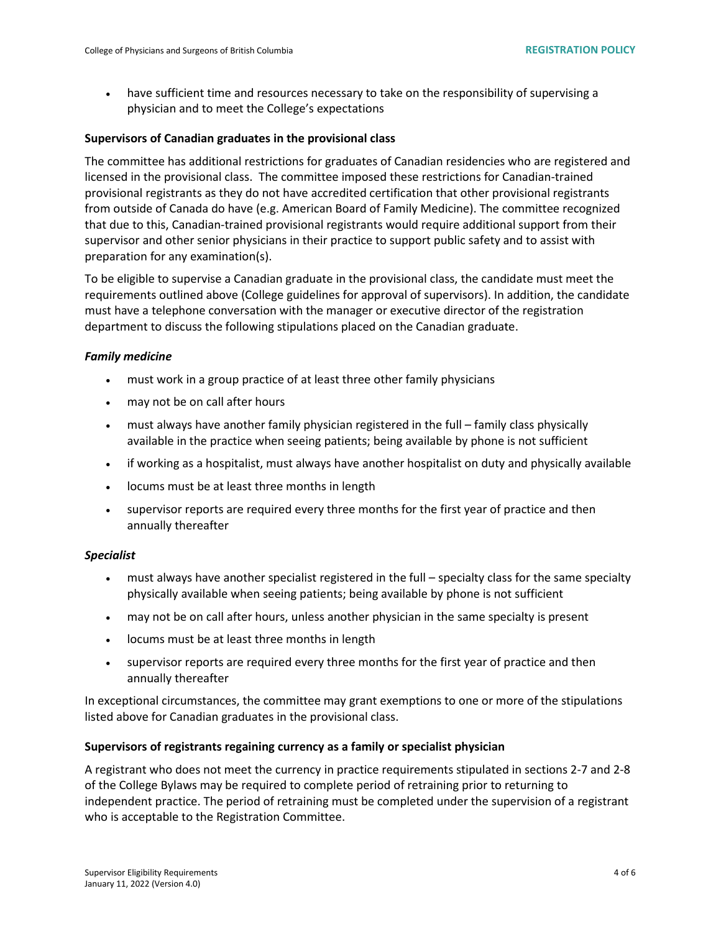• have sufficient time and resources necessary to take on the responsibility of supervising a physician and to meet the College's expectations

#### **Supervisors of Canadian graduates in the provisional class**

The committee has additional restrictions for graduates of Canadian residencies who are registered and licensed in the provisional class. The committee imposed these restrictions for Canadian-trained provisional registrants as they do not have accredited certification that other provisional registrants from outside of Canada do have (e.g. American Board of Family Medicine). The committee recognized that due to this, Canadian-trained provisional registrants would require additional support from their supervisor and other senior physicians in their practice to support public safety and to assist with preparation for any examination(s).

To be eligible to supervise a Canadian graduate in the provisional class, the candidate must meet the requirements outlined above (College guidelines for approval of supervisors). In addition, the candidate must have a telephone conversation with the manager or executive director of the registration department to discuss the following stipulations placed on the Canadian graduate.

#### *Family medicine*

- must work in a group practice of at least three other family physicians
- may not be on call after hours
- must always have another family physician registered in the full family class physically available in the practice when seeing patients; being available by phone is not sufficient
- if working as a hospitalist, must always have another hospitalist on duty and physically available
- locums must be at least three months in length
- supervisor reports are required every three months for the first year of practice and then annually thereafter

#### *Specialist*

- must always have another specialist registered in the full specialty class for the same specialty physically available when seeing patients; being available by phone is not sufficient
- may not be on call after hours, unless another physician in the same specialty is present
- locums must be at least three months in length
- supervisor reports are required every three months for the first year of practice and then annually thereafter

In exceptional circumstances, the committee may grant exemptions to one or more of the stipulations listed above for Canadian graduates in the provisional class.

#### **Supervisors of registrants regaining currency as a family or specialist physician**

A registrant who does not meet the currency in practice requirements stipulated in sections 2-7 and 2-8 of the College Bylaws may be required to complete period of retraining prior to returning to independent practice. The period of retraining must be completed under the supervision of a registrant who is acceptable to the Registration Committee.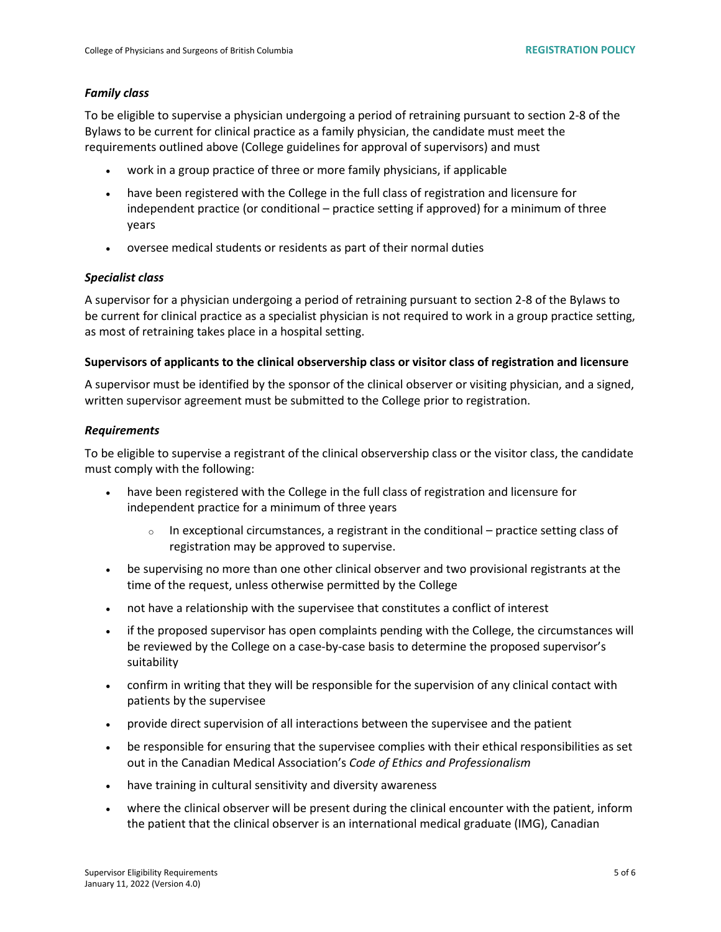#### *Family class*

To be eligible to supervise a physician undergoing a period of retraining pursuant to section 2-8 of the Bylaws to be current for clinical practice as a family physician, the candidate must meet the requirements outlined above (College guidelines for approval of supervisors) and must

- work in a group practice of three or more family physicians, if applicable
- have been registered with the College in the full class of registration and licensure for independent practice (or conditional – practice setting if approved) for a minimum of three years
- oversee medical students or residents as part of their normal duties

#### *Specialist class*

A supervisor for a physician undergoing a period of retraining pursuant to section 2-8 of the Bylaws to be current for clinical practice as a specialist physician is not required to work in a group practice setting, as most of retraining takes place in a hospital setting.

#### **Supervisors of applicants to the clinical observership class or visitor class of registration and licensure**

A supervisor must be identified by the sponsor of the clinical observer or visiting physician, and a signed, written supervisor agreement must be submitted to the College prior to registration.

#### *Requirements*

To be eligible to supervise a registrant of the clinical observership class or the visitor class, the candidate must comply with the following:

- have been registered with the College in the full class of registration and licensure for independent practice for a minimum of three years
	- $\circ$  In exceptional circumstances, a registrant in the conditional practice setting class of registration may be approved to supervise.
- be supervising no more than one other clinical observer and two provisional registrants at the time of the request, unless otherwise permitted by the College
- not have a relationship with the supervisee that constitutes a conflict of interest
- if the proposed supervisor has open complaints pending with the College, the circumstances will be reviewed by the College on a case-by-case basis to determine the proposed supervisor's suitability
- confirm in writing that they will be responsible for the supervision of any clinical contact with patients by the supervisee
- provide direct supervision of all interactions between the supervisee and the patient
- be responsible for ensuring that the supervisee complies with their ethical responsibilities as set out in the Canadian Medical Association's *Code of Ethics and Professionalism*
- have training in cultural sensitivity and diversity awareness
- where the clinical observer will be present during the clinical encounter with the patient, inform the patient that the clinical observer is an international medical graduate (IMG), Canadian